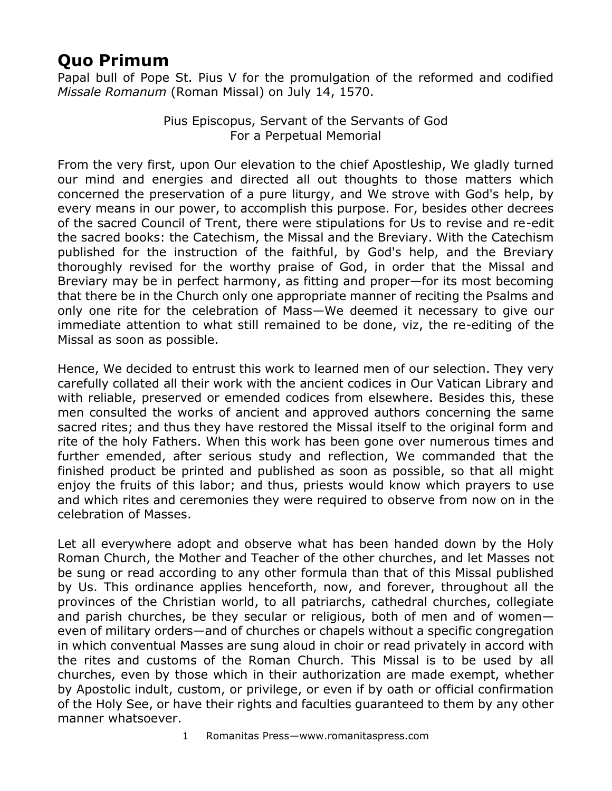## **Quo Primum**

Papal bull of Pope St. Pius V for the promulgation of the reformed and codified *Missale Romanum* (Roman Missal) on July 14, 1570.

> Pius Episcopus, Servant of the Servants of God For a Perpetual Memorial

From the very first, upon Our elevation to the chief Apostleship, We gladly turned our mind and energies and directed all out thoughts to those matters which concerned the preservation of a pure liturgy, and We strove with God's help, by every means in our power, to accomplish this purpose. For, besides other decrees of the sacred Council of Trent, there were stipulations for Us to revise and re-edit the sacred books: the Catechism, the Missal and the Breviary. With the Catechism published for the instruction of the faithful, by God's help, and the Breviary thoroughly revised for the worthy praise of God, in order that the Missal and Breviary may be in perfect harmony, as fitting and proper—for its most becoming that there be in the Church only one appropriate manner of reciting the Psalms and only one rite for the celebration of Mass—We deemed it necessary to give our immediate attention to what still remained to be done, viz, the re-editing of the Missal as soon as possible.

Hence, We decided to entrust this work to learned men of our selection. They very carefully collated all their work with the ancient codices in Our Vatican Library and with reliable, preserved or emended codices from elsewhere. Besides this, these men consulted the works of ancient and approved authors concerning the same sacred rites; and thus they have restored the Missal itself to the original form and rite of the holy Fathers. When this work has been gone over numerous times and further emended, after serious study and reflection, We commanded that the finished product be printed and published as soon as possible, so that all might enjoy the fruits of this labor; and thus, priests would know which prayers to use and which rites and ceremonies they were required to observe from now on in the celebration of Masses.

Let all everywhere adopt and observe what has been handed down by the Holy Roman Church, the Mother and Teacher of the other churches, and let Masses not be sung or read according to any other formula than that of this Missal published by Us. This ordinance applies henceforth, now, and forever, throughout all the provinces of the Christian world, to all patriarchs, cathedral churches, collegiate and parish churches, be they secular or religious, both of men and of women even of military orders—and of churches or chapels without a specific congregation in which conventual Masses are sung aloud in choir or read privately in accord with the rites and customs of the Roman Church. This Missal is to be used by all churches, even by those which in their authorization are made exempt, whether by Apostolic indult, custom, or privilege, or even if by oath or official confirmation of the Holy See, or have their rights and faculties guaranteed to them by any other manner whatsoever.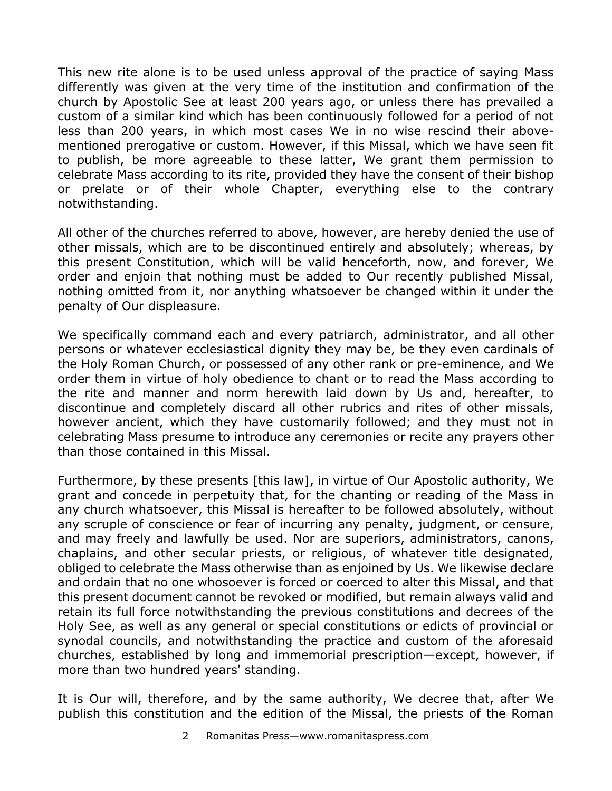This new rite alone is to be used unless approval of the practice of saying Mass differently was given at the very time of the institution and confirmation of the church by Apostolic See at least 200 years ago, or unless there has prevailed a custom of a similar kind which has been continuously followed for a period of not less than 200 years, in which most cases We in no wise rescind their abovementioned prerogative or custom. However, if this Missal, which we have seen fit to publish, be more agreeable to these latter, We grant them permission to celebrate Mass according to its rite, provided they have the consent of their bishop or prelate or of their whole Chapter, everything else to the contrary notwithstanding.

All other of the churches referred to above, however, are hereby denied the use of other missals, which are to be discontinued entirely and absolutely; whereas, by this present Constitution, which will be valid henceforth, now, and forever, We order and enjoin that nothing must be added to Our recently published Missal, nothing omitted from it, nor anything whatsoever be changed within it under the penalty of Our displeasure.

We specifically command each and every patriarch, administrator, and all other persons or whatever ecclesiastical dignity they may be, be they even cardinals of the Holy Roman Church, or possessed of any other rank or pre-eminence, and We order them in virtue of holy obedience to chant or to read the Mass according to the rite and manner and norm herewith laid down by Us and, hereafter, to discontinue and completely discard all other rubrics and rites of other missals, however ancient, which they have customarily followed; and they must not in celebrating Mass presume to introduce any ceremonies or recite any prayers other than those contained in this Missal.

Furthermore, by these presents [this law], in virtue of Our Apostolic authority, We grant and concede in perpetuity that, for the chanting or reading of the Mass in any church whatsoever, this Missal is hereafter to be followed absolutely, without any scruple of conscience or fear of incurring any penalty, judgment, or censure, and may freely and lawfully be used. Nor are superiors, administrators, canons, chaplains, and other secular priests, or religious, of whatever title designated, obliged to celebrate the Mass otherwise than as enjoined by Us. We likewise declare and ordain that no one whosoever is forced or coerced to alter this Missal, and that this present document cannot be revoked or modified, but remain always valid and retain its full force notwithstanding the previous constitutions and decrees of the Holy See, as well as any general or special constitutions or edicts of provincial or synodal councils, and notwithstanding the practice and custom of the aforesaid churches, established by long and immemorial prescription—except, however, if more than two hundred years' standing.

It is Our will, therefore, and by the same authority, We decree that, after We publish this constitution and the edition of the Missal, the priests of the Roman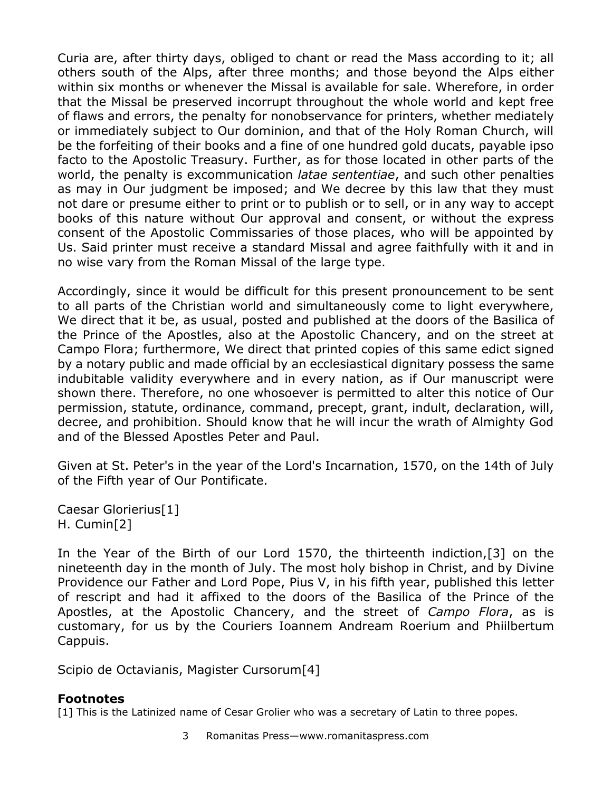Curia are, after thirty days, obliged to chant or read the Mass according to it; all others south of the Alps, after three months; and those beyond the Alps either within six months or whenever the Missal is available for sale. Wherefore, in order that the Missal be preserved incorrupt throughout the whole world and kept free of flaws and errors, the penalty for nonobservance for printers, whether mediately or immediately subject to Our dominion, and that of the Holy Roman Church, will be the forfeiting of their books and a fine of one hundred gold ducats, payable ipso facto to the Apostolic Treasury. Further, as for those located in other parts of the world, the penalty is excommunication *latae sententiae*, and such other penalties as may in Our judgment be imposed; and We decree by this law that they must not dare or presume either to print or to publish or to sell, or in any way to accept books of this nature without Our approval and consent, or without the express consent of the Apostolic Commissaries of those places, who will be appointed by Us. Said printer must receive a standard Missal and agree faithfully with it and in no wise vary from the Roman Missal of the large type.

Accordingly, since it would be difficult for this present pronouncement to be sent to all parts of the Christian world and simultaneously come to light everywhere, We direct that it be, as usual, posted and published at the doors of the Basilica of the Prince of the Apostles, also at the Apostolic Chancery, and on the street at Campo Flora; furthermore, We direct that printed copies of this same edict signed by a notary public and made official by an ecclesiastical dignitary possess the same indubitable validity everywhere and in every nation, as if Our manuscript were shown there. Therefore, no one whosoever is permitted to alter this notice of Our permission, statute, ordinance, command, precept, grant, indult, declaration, will, decree, and prohibition. Should know that he will incur the wrath of Almighty God and of the Blessed Apostles Peter and Paul.

Given at St. Peter's in the year of the Lord's Incarnation, 1570, on the 14th of July of the Fifth year of Our Pontificate.

Caesar Glorierius[1] H. Cumin[2]

In the Year of the Birth of our Lord 1570, the thirteenth indiction,[3] on the nineteenth day in the month of July. The most holy bishop in Christ, and by Divine Providence our Father and Lord Pope, Pius V, in his fifth year, published this letter of rescript and had it affixed to the doors of the Basilica of the Prince of the Apostles, at the Apostolic Chancery, and the street of *Campo Flora*, as is customary, for us by the Couriers Ioannem Andream Roerium and Phiilbertum Cappuis.

Scipio de Octavianis, Magister Cursorum[4]

## **Footnotes**

[1] This is the Latinized name of Cesar Grolier who was a secretary of Latin to three popes.

3 Romanitas Press—www.romanitaspress.com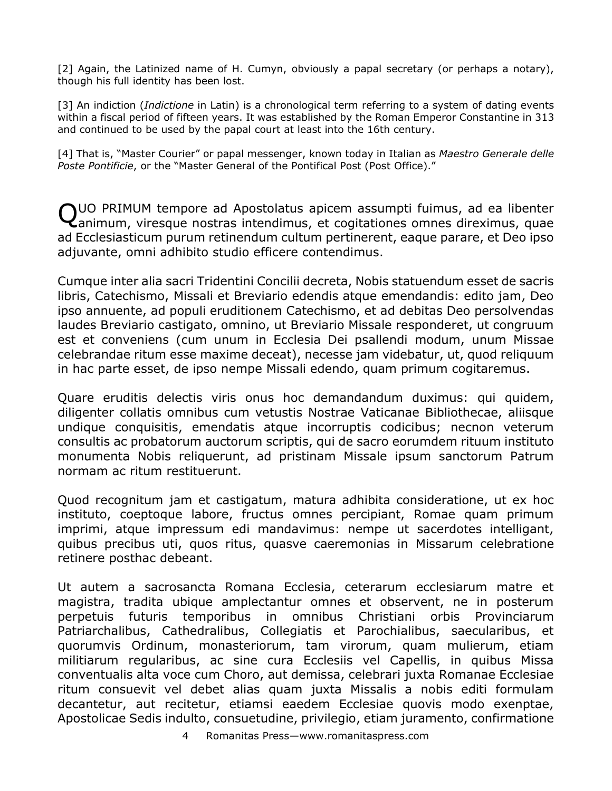[2] Again, the Latinized name of H. Cumyn, obviously a papal secretary (or perhaps a notary), though his full identity has been lost.

[3] An indiction (*Indictione* in Latin) is a chronological term referring to a system of dating events within a fiscal period of fifteen years. It was established by the Roman Emperor Constantine in 313 and continued to be used by the papal court at least into the 16th century.

[4] That is, "Master Courier" or papal messenger, known today in Italian as *Maestro Generale delle Poste Pontificie*, or the "Master General of the Pontifical Post (Post Office)."

QUO PRIMUM tempore ad Apostolatus apicem assumpti fuimus, ad ea libenter<br>Qanimum, viresque nostras intendimus, et cogitationes omnes direximus, quae  $\epsilon$ animum, viresque nostras intendimus, et cogitationes omnes direximus, quae ad Ecclesiasticum purum retinendum cultum pertinerent, eaque parare, et Deo ipso adjuvante, omni adhibito studio efficere contendimus.

Cumque inter alia sacri Tridentini Concilii decreta, Nobis statuendum esset de sacris libris, Catechismo, Missali et Breviario edendis atque emendandis: edito jam, Deo ipso annuente, ad populi eruditionem Catechismo, et ad debitas Deo persolvendas laudes Breviario castigato, omnino, ut Breviario Missale responderet, ut congruum est et conveniens (cum unum in Ecclesia Dei psallendi modum, unum Missae celebrandae ritum esse maxime deceat), necesse jam videbatur, ut, quod reliquum in hac parte esset, de ipso nempe Missali edendo, quam primum cogitaremus.

Quare eruditis delectis viris onus hoc demandandum duximus: qui quidem, diligenter collatis omnibus cum vetustis Nostrae Vaticanae Bibliothecae, aliisque undique conquisitis, emendatis atque incorruptis codicibus; necnon veterum consultis ac probatorum auctorum scriptis, qui de sacro eorumdem rituum instituto monumenta Nobis reliquerunt, ad pristinam Missale ipsum sanctorum Patrum normam ac ritum restituerunt.

Quod recognitum jam et castigatum, matura adhibita consideratione, ut ex hoc instituto, coeptoque labore, fructus omnes percipiant, Romae quam primum imprimi, atque impressum edi mandavimus: nempe ut sacerdotes intelligant, quibus precibus uti, quos ritus, quasve caeremonias in Missarum celebratione retinere posthac debeant.

Ut autem a sacrosancta Romana Ecclesia, ceterarum ecclesiarum matre et magistra, tradita ubique amplectantur omnes et observent, ne in posterum perpetuis futuris temporibus in omnibus Christiani orbis Provinciarum Patriarchalibus, Cathedralibus, Collegiatis et Parochialibus, saecularibus, et quorumvis Ordinum, monasteriorum, tam virorum, quam mulierum, etiam militiarum regularibus, ac sine cura Ecclesiis vel Capellis, in quibus Missa conventualis alta voce cum Choro, aut demissa, celebrari juxta Romanae Ecclesiae ritum consuevit vel debet alias quam juxta Missalis a nobis editi formulam decantetur, aut recitetur, etiamsi eaedem Ecclesiae quovis modo exenptae, Apostolicae Sedis indulto, consuetudine, privilegio, etiam juramento, confirmatione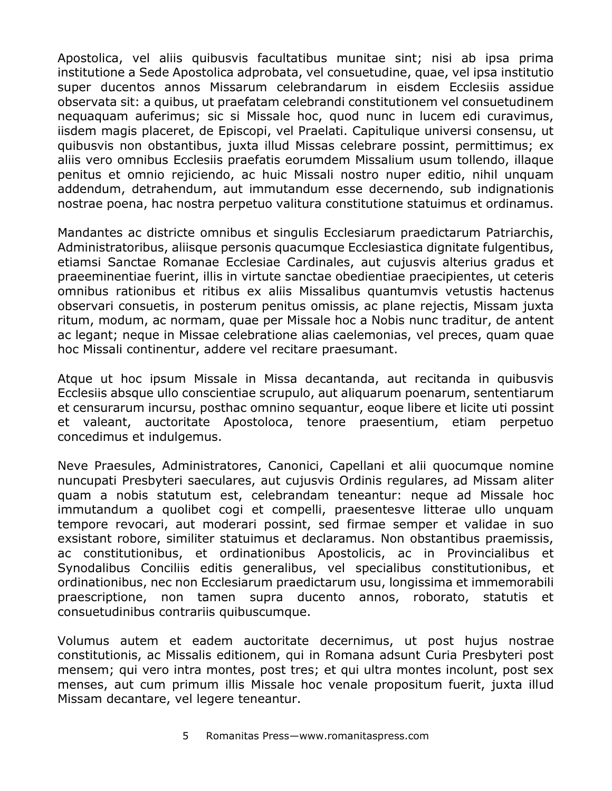Apostolica, vel aliis quibusvis facultatibus munitae sint; nisi ab ipsa prima institutione a Sede Apostolica adprobata, vel consuetudine, quae, vel ipsa institutio super ducentos annos Missarum celebrandarum in eisdem Ecclesiis assidue observata sit: a quibus, ut praefatam celebrandi constitutionem vel consuetudinem nequaquam auferimus; sic si Missale hoc, quod nunc in lucem edi curavimus, iisdem magis placeret, de Episcopi, vel Praelati. Capitulique universi consensu, ut quibusvis non obstantibus, juxta illud Missas celebrare possint, permittimus; ex aliis vero omnibus Ecclesiis praefatis eorumdem Missalium usum tollendo, illaque penitus et omnio rejiciendo, ac huic Missali nostro nuper editio, nihil unquam addendum, detrahendum, aut immutandum esse decernendo, sub indignationis nostrae poena, hac nostra perpetuo valitura constitutione statuimus et ordinamus.

Mandantes ac districte omnibus et singulis Ecclesiarum praedictarum Patriarchis, Administratoribus, aliisque personis quacumque Ecclesiastica dignitate fulgentibus, etiamsi Sanctae Romanae Ecclesiae Cardinales, aut cujusvis alterius gradus et praeeminentiae fuerint, illis in virtute sanctae obedientiae praecipientes, ut ceteris omnibus rationibus et ritibus ex aliis Missalibus quantumvis vetustis hactenus observari consuetis, in posterum penitus omissis, ac plane rejectis, Missam juxta ritum, modum, ac normam, quae per Missale hoc a Nobis nunc traditur, de antent ac legant; neque in Missae celebratione alias caelemonias, vel preces, quam quae hoc Missali continentur, addere vel recitare praesumant.

Atque ut hoc ipsum Missale in Missa decantanda, aut recitanda in quibusvis Ecclesiis absque ullo conscientiae scrupulo, aut aliquarum poenarum, sententiarum et censurarum incursu, posthac omnino sequantur, eoque libere et licite uti possint et valeant, auctoritate Apostoloca, tenore praesentium, etiam perpetuo concedimus et indulgemus.

Neve Praesules, Administratores, Canonici, Capellani et alii quocumque nomine nuncupati Presbyteri saeculares, aut cujusvis Ordinis regulares, ad Missam aliter quam a nobis statutum est, celebrandam teneantur: neque ad Missale hoc immutandum a quolibet cogi et compelli, praesentesve litterae ullo unquam tempore revocari, aut moderari possint, sed firmae semper et validae in suo exsistant robore, similiter statuimus et declaramus. Non obstantibus praemissis, ac constitutionibus, et ordinationibus Apostolicis, ac in Provincialibus et Synodalibus Conciliis editis generalibus, vel specialibus constitutionibus, et ordinationibus, nec non Ecclesiarum praedictarum usu, longissima et immemorabili praescriptione, non tamen supra ducento annos, roborato, statutis et consuetudinibus contrariis quibuscumque.

Volumus autem et eadem auctoritate decernimus, ut post hujus nostrae constitutionis, ac Missalis editionem, qui in Romana adsunt Curia Presbyteri post mensem; qui vero intra montes, post tres; et qui ultra montes incolunt, post sex menses, aut cum primum illis Missale hoc venale propositum fuerit, juxta illud Missam decantare, vel legere teneantur.